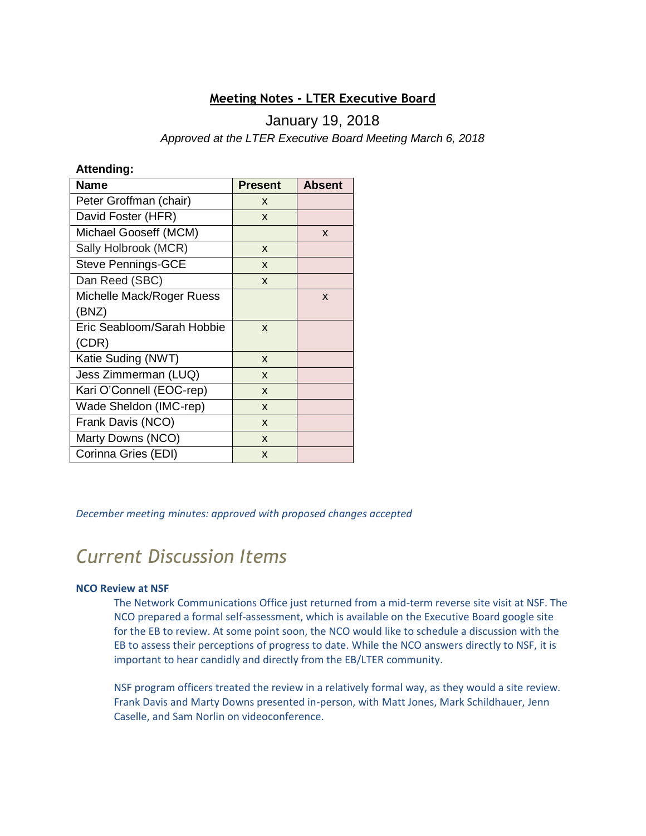# **Meeting Notes - LTER Executive Board**

# January 19, 2018

*Approved at the LTER Executive Board Meeting March 6, 2018*

## **Attending:**

| <b>Name</b>                | <b>Present</b> | <b>Absent</b> |
|----------------------------|----------------|---------------|
| Peter Groffman (chair)     | X              |               |
| David Foster (HFR)         | X              |               |
| Michael Gooseff (MCM)      |                | X             |
| Sally Holbrook (MCR)       | X              |               |
| <b>Steve Pennings-GCE</b>  | X              |               |
| Dan Reed (SBC)             | X              |               |
| Michelle Mack/Roger Ruess  |                | X             |
| (BNZ)                      |                |               |
| Eric Seabloom/Sarah Hobbie | X              |               |
| (CDR)                      |                |               |
| Katie Suding (NWT)         | X              |               |
| Jess Zimmerman (LUQ)       | X              |               |
| Kari O'Connell (EOC-rep)   | X              |               |
| Wade Sheldon (IMC-rep)     | X              |               |
| Frank Davis (NCO)          | X              |               |
| Marty Downs (NCO)          | X              |               |
| Corinna Gries (EDI)        | X              |               |

*December meeting minutes: approved with proposed changes accepted*

# *Current Discussion Items*

## **NCO Review at NSF**

The Network Communications Office just returned from a mid-term reverse site visit at NSF. The NCO prepared a formal self-assessment, which is available on the Executive Board google site for the EB to review. At some point soon, the NCO would like to schedule a discussion with the EB to assess their perceptions of progress to date. While the NCO answers directly to NSF, it is important to hear candidly and directly from the EB/LTER community.

NSF program officers treated the review in a relatively formal way, as they would a site review. Frank Davis and Marty Downs presented in-person, with Matt Jones, Mark Schildhauer, Jenn Caselle, and Sam Norlin on videoconference.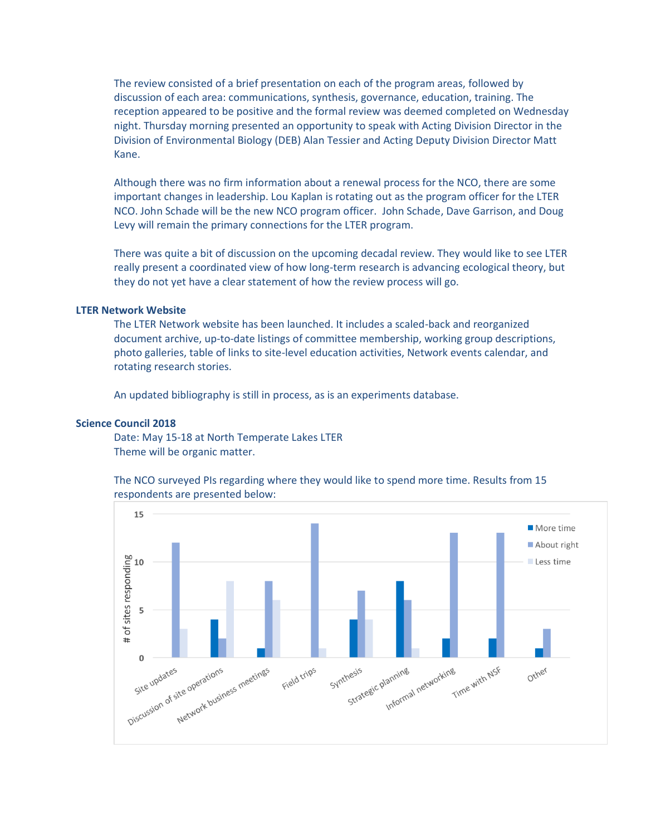The review consisted of a brief presentation on each of the program areas, followed by discussion of each area: communications, synthesis, governance, education, training. The reception appeared to be positive and the formal review was deemed completed on Wednesday night. Thursday morning presented an opportunity to speak with Acting Division Director in the Division of Environmental Biology (DEB) Alan Tessier and Acting Deputy Division Director Matt Kane.

Although there was no firm information about a renewal process for the NCO, there are some important changes in leadership. Lou Kaplan is rotating out as the program officer for the LTER NCO. John Schade will be the new NCO program officer. John Schade, Dave Garrison, and Doug Levy will remain the primary connections for the LTER program.

There was quite a bit of discussion on the upcoming decadal review. They would like to see LTER really present a coordinated view of how long-term research is advancing ecological theory, but they do not yet have a clear statement of how the review process will go.

#### **LTER Network Website**

The LTER Network website has been launched. It includes a scaled-back and reorganized document archive, up-to-date listings of committee membership, working group descriptions, photo galleries, table of links to site-level education activities, Network events calendar, and rotating research stories.

An updated bibliography is still in process, as is an experiments database.

### **Science Council 2018**

Date: May 15-18 at North Temperate Lakes LTER Theme will be organic matter.

The NCO surveyed PIs regarding where they would like to spend more time. Results from 15 respondents are presented below: